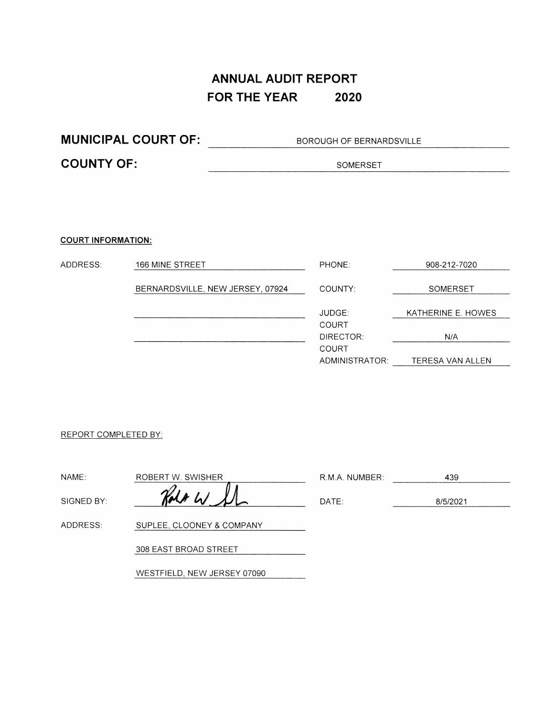### **ANNUAL AUDIT REPORT FOR THE YEAR 2020**

**MUNICIPAL COURT OF:** BOROUGH OF BERNARDSVILLE **COUNTY OF:** SOMERSET

#### **COURT INFORMATION:**

| ADDRESS: | 166 MINE STREET                  | PHONE:         | 908-212-7020       |
|----------|----------------------------------|----------------|--------------------|
|          | BERNARDSVILLE, NEW JERSEY, 07924 | COUNTY:        | SOMERSET           |
|          |                                  |                |                    |
|          |                                  | JUDGE:         | KATHERINE E. HOWES |
|          |                                  | COURT          |                    |
|          |                                  | DIRECTOR:      | N/A                |
|          |                                  | COURT          |                    |
|          |                                  | ADMINISTRATOR: | TERESA VAN ALLEN   |

#### REPORT COMPLETED BY:

| NAME:      | ROBERT W. SWISHER         | R.M.A. NUMBER: | 439      |
|------------|---------------------------|----------------|----------|
| SIGNED BY: | Holt W                    | DATE:          | 8/5/2021 |
| ADDRESS:   | SUPLEE, CLOONEY & COMPANY |                |          |
|            | 308 EAST BROAD STREET     |                |          |

WESTFIELD, NEW JERSEY 07090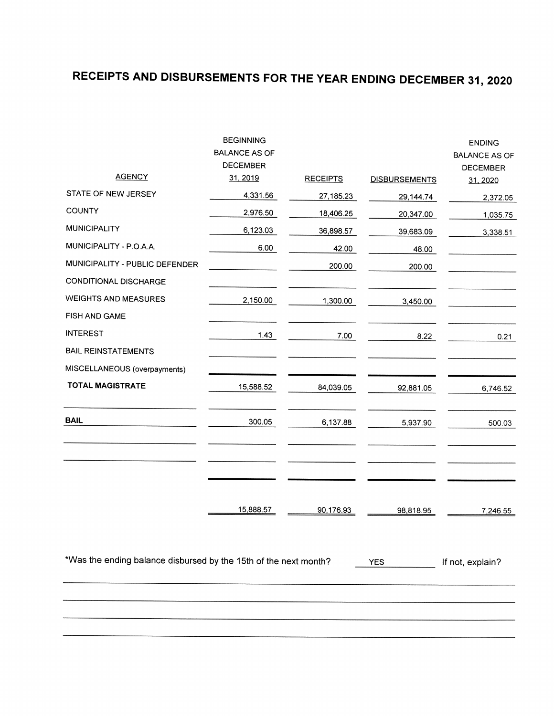# **RECEIPTS AND DISBURSEMENTS FOR THE YEAR ENDING DECEMBER <sup>31</sup>, <sup>2020</sup>**

| <b>AGENCY</b>                                                    | <b>BEGINNING</b><br><b>BALANCE AS OF</b><br><b>DECEMBER</b><br>31, 2019 | <b>RECEIPTS</b> | <b>DISBURSEMENTS</b> | <b>ENDING</b><br><b>BALANCE AS OF</b><br><b>DECEMBER</b><br>31, 2020 |
|------------------------------------------------------------------|-------------------------------------------------------------------------|-----------------|----------------------|----------------------------------------------------------------------|
| STATE OF NEW JERSEY                                              | 4,331.56                                                                | 27,185.23       | 29,144.74            | 2,372.05                                                             |
| <b>COUNTY</b>                                                    | 2,976.50                                                                | 18,406.25       | 20,347.00            | 1,035.75                                                             |
| <b>MUNICIPALITY</b>                                              | 6,123.03                                                                | 36,898.57       | 39,683.09            | 3,338.51                                                             |
| MUNICIPALITY - P.O.A.A.                                          | 6.00                                                                    | 42.00           | 48.00                |                                                                      |
| MUNICIPALITY - PUBLIC DEFENDER                                   |                                                                         | 200.00          | 200.00               |                                                                      |
| <b>CONDITIONAL DISCHARGE</b>                                     |                                                                         |                 |                      |                                                                      |
| <b>WEIGHTS AND MEASURES</b>                                      | 2,150.00                                                                | 1,300.00        | 3,450.00             |                                                                      |
| FISH AND GAME                                                    |                                                                         |                 |                      |                                                                      |
| <b>INTEREST</b>                                                  | 1.43                                                                    | 7.00            | 8.22                 | 0.21                                                                 |
| <b>BAIL REINSTATEMENTS</b>                                       |                                                                         |                 |                      |                                                                      |
| MISCELLANEOUS (overpayments)                                     |                                                                         |                 |                      |                                                                      |
| <b>TOTAL MAGISTRATE</b>                                          | 15,588.52                                                               | 84,039.05       | 92,881.05            | 6,746.52                                                             |
| <b>BAIL</b>                                                      | 300.05                                                                  | 6,137.88        | 5,937.90             | 500.03                                                               |
|                                                                  | 15,888.57                                                               | 90,176.93       | 98,818.95            | 7,246.55                                                             |
| *Was the ending balance disbursed by the 15th of the next month? |                                                                         |                 | <b>YES</b>           | If not, explain?                                                     |
|                                                                  |                                                                         |                 |                      |                                                                      |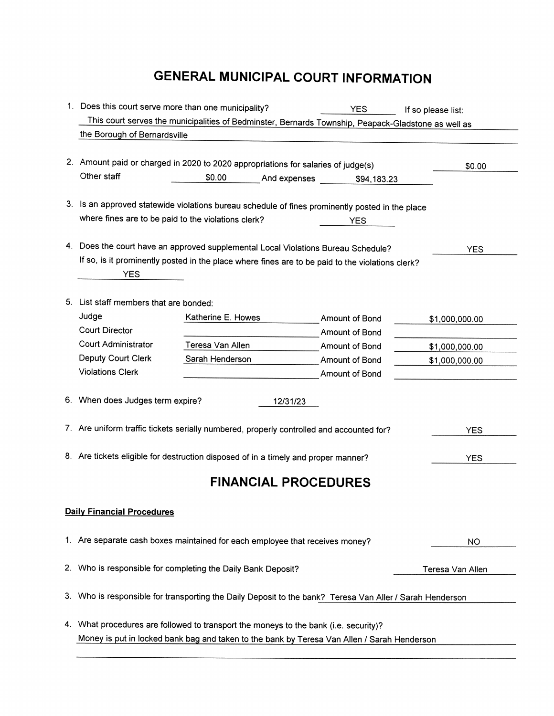## **GENERAL MUNICIPAL COURT INFORMATION**

|    | 1. Does this court serve more than one municipality?<br><b>YES</b><br>If so please list:                                            |                             |              |                                  |                  |  |
|----|-------------------------------------------------------------------------------------------------------------------------------------|-----------------------------|--------------|----------------------------------|------------------|--|
|    | This court serves the municipalities of Bedminster, Bernards Township, Peapack-Gladstone as well as<br>the Borough of Bernardsville |                             |              |                                  |                  |  |
|    |                                                                                                                                     |                             |              |                                  |                  |  |
|    | 2. Amount paid or charged in 2020 to 2020 appropriations for salaries of judge(s)                                                   |                             |              |                                  | \$0.00           |  |
|    | Other staff                                                                                                                         | \$0.00                      | And expenses | \$94,183.23                      |                  |  |
|    |                                                                                                                                     |                             |              |                                  |                  |  |
|    | 3. Is an approved statewide violations bureau schedule of fines prominently posted in the place                                     |                             |              |                                  |                  |  |
|    | where fines are to be paid to the violations clerk?                                                                                 |                             |              | YES                              |                  |  |
| 4. | Does the court have an approved supplemental Local Violations Bureau Schedule?                                                      |                             |              |                                  | <b>YES</b>       |  |
|    | If so, is it prominently posted in the place where fines are to be paid to the violations clerk?                                    |                             |              |                                  |                  |  |
|    | <b>YES</b>                                                                                                                          |                             |              |                                  |                  |  |
|    |                                                                                                                                     |                             |              |                                  |                  |  |
|    | 5. List staff members that are bonded:                                                                                              |                             |              |                                  |                  |  |
|    | Judge<br><b>Court Director</b>                                                                                                      | Katherine E. Howes          |              | Amount of Bond                   | \$1,000,000.00   |  |
|    | <b>Court Administrator</b>                                                                                                          | Teresa Van Allen            |              | Amount of Bond<br>Amount of Bond | \$1,000,000.00   |  |
|    | Deputy Court Clerk                                                                                                                  | Sarah Henderson             |              | Amount of Bond                   | \$1,000,000.00   |  |
|    | <b>Violations Clerk</b>                                                                                                             |                             |              | Amount of Bond                   |                  |  |
|    |                                                                                                                                     |                             |              |                                  |                  |  |
|    | 6. When does Judges term expire?                                                                                                    |                             | 12/31/23     |                                  |                  |  |
|    |                                                                                                                                     |                             |              |                                  |                  |  |
|    | 7. Are uniform traffic tickets serially numbered, properly controlled and accounted for?                                            |                             |              |                                  | <b>YES</b>       |  |
|    | 8. Are tickets eligible for destruction disposed of in a timely and proper manner?                                                  |                             |              |                                  | <b>YES</b>       |  |
|    |                                                                                                                                     |                             |              |                                  |                  |  |
|    |                                                                                                                                     | <b>FINANCIAL PROCEDURES</b> |              |                                  |                  |  |
|    | <b>Daily Financial Procedures</b>                                                                                                   |                             |              |                                  |                  |  |
|    |                                                                                                                                     |                             |              |                                  |                  |  |
|    | 1. Are separate cash boxes maintained for each employee that receives money?                                                        |                             |              |                                  | <b>NO</b>        |  |
|    |                                                                                                                                     |                             |              |                                  |                  |  |
|    | 2. Who is responsible for completing the Daily Bank Deposit?                                                                        |                             |              |                                  | Teresa Van Allen |  |
| 3. | Who is responsible for transporting the Daily Deposit to the bank? Teresa Van Aller / Sarah Henderson                               |                             |              |                                  |                  |  |
|    |                                                                                                                                     |                             |              |                                  |                  |  |
| 4. | What procedures are followed to transport the moneys to the bank (i.e. security)?                                                   |                             |              |                                  |                  |  |
|    | Money is put in locked bank bag and taken to the bank by Teresa Van Allen / Sarah Henderson                                         |                             |              |                                  |                  |  |
|    |                                                                                                                                     |                             |              |                                  |                  |  |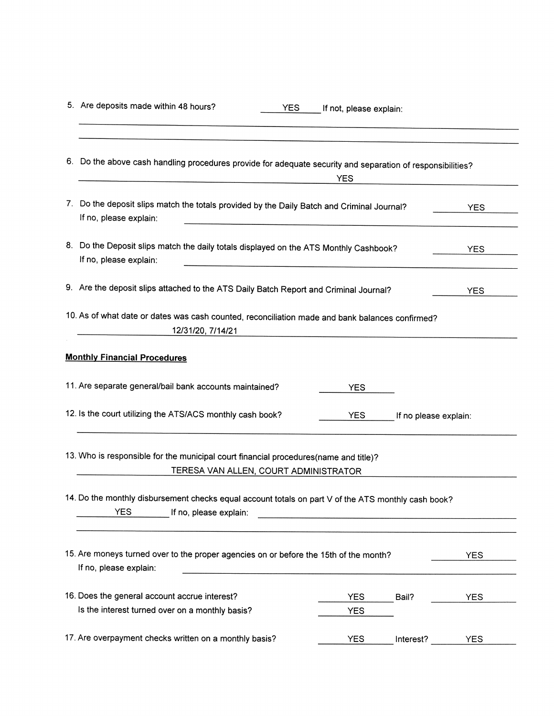| 5. Are deposits made within 48 hours?<br><b>YES</b>                                                                                                                | If not, please explain: |                       |            |
|--------------------------------------------------------------------------------------------------------------------------------------------------------------------|-------------------------|-----------------------|------------|
| 6. Do the above cash handling procedures provide for adequate security and separation of responsibilities?                                                         | <b>YES</b>              |                       |            |
| 7. Do the deposit slips match the totals provided by the Daily Batch and Criminal Journal?<br>If no, please explain:<br><u> 1980 - Johann John Stein, markin f</u> |                         |                       | <b>YES</b> |
| 8. Do the Deposit slips match the daily totals displayed on the ATS Monthly Cashbook?<br>If no, please explain:                                                    |                         |                       | <b>YES</b> |
| 9. Are the deposit slips attached to the ATS Daily Batch Report and Criminal Journal?                                                                              |                         |                       | <b>YES</b> |
| 10. As of what date or dates was cash counted, reconciliation made and bank balances confirmed?<br>12/31/20, 7/14/21                                               |                         |                       |            |
| <b>Monthly Financial Procedures</b>                                                                                                                                |                         |                       |            |
| 11. Are separate general/bail bank accounts maintained?                                                                                                            | YES.                    |                       |            |
| 12. Is the court utilizing the ATS/ACS monthly cash book?                                                                                                          | <b>YES</b>              | If no please explain: |            |
| 13. Who is responsible for the municipal court financial procedures(name and title)?<br>TERESA VAN ALLEN, COURT ADMINISTRATOR                                      |                         |                       |            |
| 14. Do the monthly disbursement checks equal account totals on part V of the ATS monthly cash book?<br>YES<br>If no, please explain:                               |                         |                       |            |
| 15. Are moneys turned over to the proper agencies on or before the 15th of the month?<br>If no, please explain:                                                    |                         |                       | <b>YES</b> |
| 16. Does the general account accrue interest?                                                                                                                      | <b>YES</b>              | Bail?                 | <b>YES</b> |
| Is the interest turned over on a monthly basis?                                                                                                                    | <b>YES</b>              |                       |            |
| 17. Are overpayment checks written on a monthly basis?                                                                                                             | <b>YES</b>              | Interest?             | <b>YES</b> |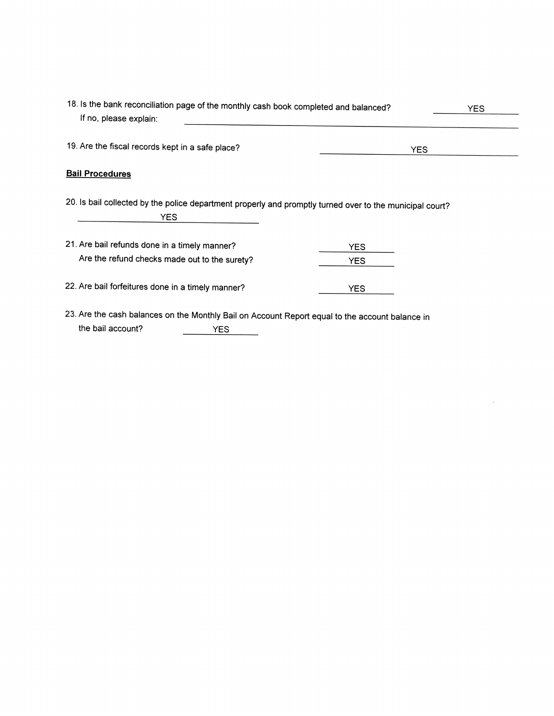| 18. Is the bank reconciliation page of the monthly cash book completed and balanced?<br>If no, please explain:              | YES.       |  |
|-----------------------------------------------------------------------------------------------------------------------------|------------|--|
| 19. Are the fiscal records kept in a safe place?                                                                            | YES.       |  |
| <b>Bail Procedures</b>                                                                                                      |            |  |
| 20. Is bail collected by the police department properly and promptly turned over to the municipal court?<br>YES.            |            |  |
| 21. Are bail refunds done in a timely manner?                                                                               | YES.       |  |
| Are the refund checks made out to the surety?                                                                               | <b>YES</b> |  |
| 22. Are bail forfeitures done in a timely manner?                                                                           | YES.       |  |
| 23. Are the cash balances on the Monthly Bail on Account Report equal to the account balance in<br>the bail account?<br>YES |            |  |

 $\mathcal{L}^{\text{max}}_{\text{max}}$  and  $\mathcal{L}^{\text{max}}_{\text{max}}$